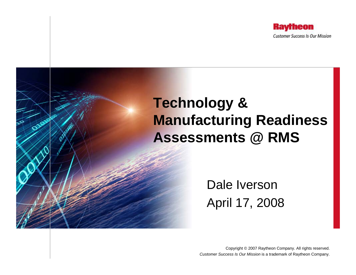

# **Technology & Manufacturing Readiness Assessments @ RMS**

Dale IversonApril 17, 2008

Copyright © 2007 Raytheon Company. All rights reserved. *Customer Success Is Our Mission* is a trademark of Raytheon Company.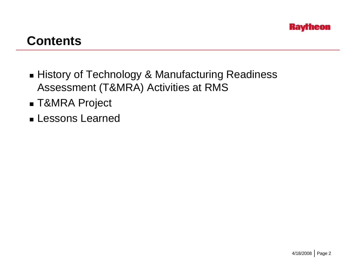

### **Contents**

- History of Technology & Manufacturing Readiness Assessment (T&MRA) Activities at RMS
- T&MRA Project
- Lessons Learned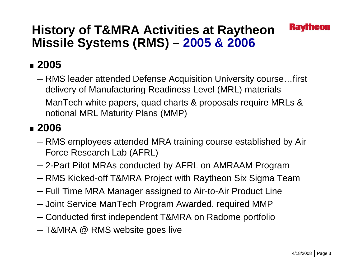### **History of T&MRA Activities at Raytheon Missile Systems (RMS) – 2005 & 2006**

### **2005**

- RMS leader attended Defense Acquisition University course…first delivery of Manufacturing Readiness Level (MRL) materials
- ManTech white papers, quad charts & proposals require MRLs & notional MRL Maturity Plans (MMP)

### **2006**

- RMS employees attended MRA training course established by Air Force Research Lab (AFRL)
- 2-Part Pilot MRAs conducted by AFRL on AMRAAM Program
- RMS Kicked-off T&MRA Project with Raytheon Six Sigma Team
- Full Time MRA Manager assigned to Air-to-Air Product Line
- Joint Service ManTech Program Awarded, required MMP
- Conducted first independent T&MRA on Radome portfolio
- T&MRA @ RMS website goes live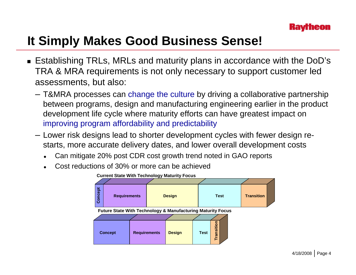

## **It Simply Makes Good Business Sense!**

- Establishing TRLs, MRLs and maturity plans in accordance with the DoD's TRA & MRA requirements is not only necessary to support customer led assessments, but also:
	- T&MRA processes can change the culture by driving a collaborative partnership between programs, design and manufacturing engineering earlier in the product development life cycle where maturity efforts can have greatest impact on improving program affordability and predictability
	- Lower risk designs lead to shorter development cycles with fewer design restarts, more accurate delivery dates, and lower overall development costs
		- $\bullet$ Can mitigate 20% post CDR cost growth trend noted in GAO reports
		- $\bullet$ Cost reductions of 30% or more can be achieved

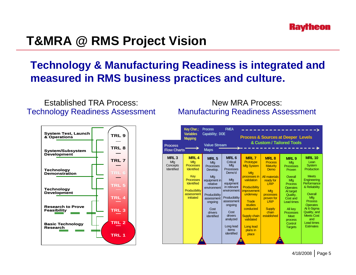

### **T&MRA @ RMS Project Vision**

### **Technology & Manufacturing Readiness is integrated and measured in RMS business practices and culture.**

#### Established TRA Process: Technology Readiness Assessment



#### New MRA Process: Manufacturing Readiness Assessment

| <b>Process</b>                                    | Key Char.;<br><b>FMEA</b><br><b>Process</b><br>Capability; DOE<br><b>Variables</b><br><b>Process &amp; Sources at Deeper Levels</b><br><b>Mapping</b><br>& Custom / Tailored Tools<br><b>Value Stream</b><br><b>Maps</b><br><b>Flow Charts</b> |                                                                                                                                                                                      |                                                                                                                                                                                                                           |                                                                                                                                                                                                                                                            |                                                                                                                                                                                                        |                                                                                                                                                                                                                                                                |                                                                                                                                                                                                                                                                               |  |  |  |  |  |
|---------------------------------------------------|------------------------------------------------------------------------------------------------------------------------------------------------------------------------------------------------------------------------------------------------|--------------------------------------------------------------------------------------------------------------------------------------------------------------------------------------|---------------------------------------------------------------------------------------------------------------------------------------------------------------------------------------------------------------------------|------------------------------------------------------------------------------------------------------------------------------------------------------------------------------------------------------------------------------------------------------------|--------------------------------------------------------------------------------------------------------------------------------------------------------------------------------------------------------|----------------------------------------------------------------------------------------------------------------------------------------------------------------------------------------------------------------------------------------------------------------|-------------------------------------------------------------------------------------------------------------------------------------------------------------------------------------------------------------------------------------------------------------------------------|--|--|--|--|--|
| MRL <sub>3</sub><br>Mfg<br>Concepts<br>Identified | <b>MRL4</b><br>Mfg<br><b>Processes</b><br><b>Identified</b><br>Key<br><b>Processes</b><br><b>Identified</b><br><b>Producibility</b><br>assessment<br>initiated                                                                                 | MRL <sub>5</sub><br>Mfg<br><b>Processes</b><br>Develop.<br>Mfg<br>equipment in<br>relative<br>environment<br>Producibility<br>assessment<br>ongoing<br>Cost<br>drivers<br>identified | MRL <sub>6</sub><br>Critical<br>Mfg<br>Processes<br>Demo'd<br>Mfg<br>equipment<br>in relevant<br>environment<br>Producibility<br>assessment<br>ongoing<br>Cost<br>drivers<br>analyzed<br>Long lead<br>items<br>identified | <b>MRL7</b><br>Prototype<br><b>Mfg System</b><br>Mfg<br>processes in<br>validation<br>Producibility<br><i>improvement</i><br>underway<br><b>Trade</b><br>studies<br>conducted<br><b>Supply chain</b><br>validated<br><b>Long lead</b><br>plans in<br>place | <b>MRL8</b><br><b>Process</b><br><b>Maturity</b><br>Demo<br><b>All materials</b><br>ready for<br><b>IRIP</b><br>Mfg<br>processes<br>proven for<br><b>LRIP</b><br><b>Supply</b><br>chain<br>established | <b>MRL9</b><br>Mfg<br><b>Processes</b><br>Proven<br>Overall<br>Mfg<br><b>Process</b><br><b>Operates</b><br>At target<br>Quality,<br>Cost and<br><b>Lead times</b><br><b>All key</b><br><b>Processes</b><br><b>Meet</b><br>process<br>Control<br><b>Targets</b> | <b>MRL 10</b><br>Lean<br><b>System</b><br>Production<br><b>Meets</b><br>Engineering<br>Performance<br>& Reliability<br>Overall<br>Mfa<br><b>Process</b><br><b>Operates</b><br>At 6-Sigma<br>Quality, and<br><b>Meets Cost</b><br>and<br><b>Lead times</b><br><b>Estimates</b> |  |  |  |  |  |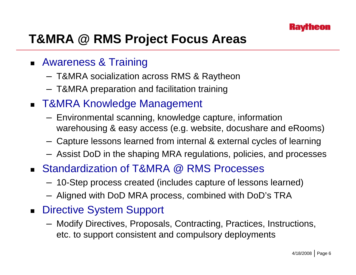

## **T&MRA @ RMS Project Focus Areas**

### ■ Awareness & Training

- T&MRA socialization across RMS & Raytheon
- T&MRA preparation and facilitation training
- T&MRA Knowledge Management
	- Environmental scanning, knowledge capture, information warehousing & easy access (e.g. website, docushare and eRooms)
	- Capture lessons learned from internal & external cycles of learning
	- Assist DoD in the shaping MRA regulations, policies, and processes
- Standardization of T&MRA @ RMS Processes
	- 10-Step process created (includes capture of lessons learned)
	- Aligned with DoD MRA process, combined with DoD's TRA
- Directive System Support
	- Modify Directives, Proposals, Contracting, Practices, Instructions, etc. to support consistent and compulsory deployments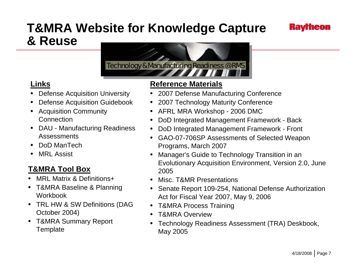### **T&MRA Website for Knowledge Capture & Reuse**



### **Links**

- •Defense Acquisition University
- •Defense Acquisition Guidebook
- • Acquisition Community **Connection**
- DAU Manufacturing Readiness **Assessments**
- •DoD ManTech
- •MRL Assist

### **T&MRA Tool Box**

- •MRL Matrix & Definitions+
- • T&MRA Baseline & Planning Workbook
- • TRL HW & SW Definitions (DAG October 2004)
- T&MRA Summary Report **Template**

#### **Reference Materials**

- $\bullet$ 2007 Defense Manufacturing Conference
- •2007 Technology Maturity Conference
- AFRL MRA Workshop 2006 DMC
- •DoD Integrated Management Framework - Back
- $\bullet$ DoD Integrated Management Framework - Front
- $\bullet$  GAO-07-706SP Assessments of Selected Weapon Programs, March 2007
- $\bullet$  Manager's Guide to Technology Transition in an Evolutionary Acquisition Environment, Version 2.0, June 2005
- •Misc. T&MR Presentations
- • Senate Report 109-254, National Defense Authorization Act for Fiscal Year 2007, May 9, 2006
- T&MRA Process Training
- T&MRA Overview
- • Technology Readiness Assessment (TRA) Deskbook, May 2005

**Kavr**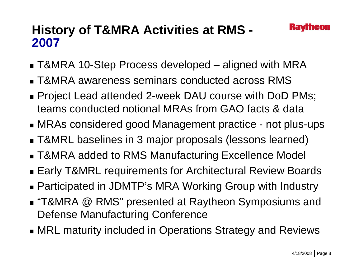### **History of T&MRA Activities at RMS - 2007**

- T&MRA 10-Step Process developed aligned with MRA
- T&MRA awareness seminars conducted across RMS
- Project Lead attended 2-week DAU course with DoD PMs; teams conducted notional MRAs from GAO facts & data
- MRAs considered good Management practice not plus-ups
- T&MRL baselines in 3 major proposals (lessons learned)
- T&MRA added to RMS Manufacturing Excellence Model
- Early T&MRL requirements for Architectural Review Boards
- Participated in JDMTP's MRA Working Group with Industry
- "T&MRA @ RMS" presented at Raytheon Symposiums and Defense Manufacturing Conference
- MRL maturity included in Operations Strategy and Reviews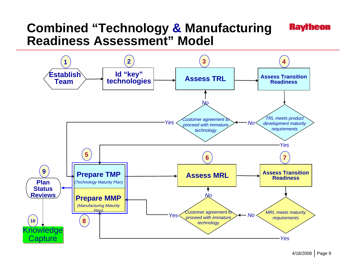### **Combined "Technology & Manufacturing Readiness Assessment" Model**



**Raytheon**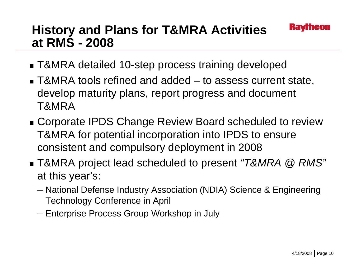### **History and Plans for T&MRA Activities at RMS - 2008**

- T&MRA detailed 10-step process training developed
- T&MRA tools refined and added to assess current state, develop maturity plans, report progress and document T&MRA
- Corporate IPDS Change Review Board scheduled to review T&MRA for potential incorporation into IPDS to ensure consistent and compulsory deployment in 2008
- T&MRA project lead scheduled to present *"T&MRA @ RMS"* at this year's:
	- National Defense Industry Association (NDIA) Science & Engineering Technology Conference in April
	- Enterprise Process Group Workshop in July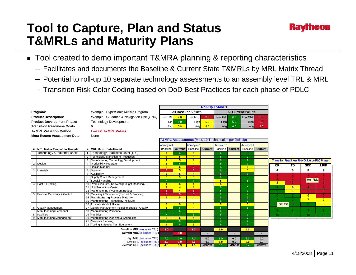### **Tool to Capture, Plan and Status T&MRLs and Maturity Plans**

**Program:** example: HyperSonic Missile Program

- Tool created to demo important T&MRA planning & reporting characteristics
	- Facilitates and documents the Baseline & Current State T&MRLs by MRL Matrix Thread
	- Potential to roll-up 10 separate technology assessments to an assembly level TRL & MRL

All **Baseline** Values

**Roll-Up T&MRLs**

All **Current** Values

– Transition Risk Color Coding based on DoD Best Practices for each phase of PDLC

| <b>Product Description:</b>         |                                     | example: Guidance & Navigation Unit (GNU)                            | Low TRL              | 4.0                     | Low MRL                                              | 3.0            | Low TRL              | 6.0            | Low MRL              | 3.0                      |                 |                 |                                                     |                |
|-------------------------------------|-------------------------------------|----------------------------------------------------------------------|----------------------|-------------------------|------------------------------------------------------|----------------|----------------------|----------------|----------------------|--------------------------|-----------------|-----------------|-----------------------------------------------------|----------------|
| <b>Product Development Phase:</b>   |                                     | <b>Technology Development</b>                                        |                      | 8.0<br>High             | High                                                 | 5.0            | High                 | 6.0            | High                 | 3.0                      |                 |                 |                                                     |                |
| <b>Transition Readiness Goals:</b>  |                                     | 6                                                                    |                      | 5.8                     | Avg                                                  | 4.0            | Avg                  | 6.0            | Avg                  | 3.0                      |                 |                 |                                                     |                |
|                                     |                                     |                                                                      | Avg                  |                         |                                                      |                |                      |                |                      |                          |                 |                 |                                                     |                |
|                                     | <b>T&amp;MRL Valuation Method:</b>  | <b>Lowest T&amp;MRL Values</b>                                       |                      |                         |                                                      |                |                      |                |                      |                          |                 |                 |                                                     |                |
|                                     | <b>Most Recent Assessment Date:</b> | None                                                                 |                      |                         |                                                      |                |                      |                |                      |                          |                 |                 |                                                     |                |
|                                     |                                     |                                                                      |                      |                         | T&MRL Assessments (Max. 10 Technologies per Roll-Up) |                |                      |                |                      |                          |                 |                 |                                                     |                |
|                                     |                                     |                                                                      | Acronym <sub>1</sub> |                         | <b>Acronym 2</b>                                     |                | Acronym <sub>3</sub> |                | Acronym <sub>4</sub> |                          |                 |                 |                                                     |                |
|                                     | # MRL Matrix Evaluation Threads     | # MRL Matrix Sub-Thread                                              | Baseline             | <b>Current</b>          | <b>Baseline</b>                                      | <b>Current</b> | Baseline             | <b>Current</b> | Baseline             | <b>Current</b>           |                 |                 |                                                     |                |
|                                     | Technology & Industrial Base        | Technology Readiness Level (TRL)                                     | 5                    | $6^{\circ}$             | $\overline{4}$                                       |                | $6^{\circ}$          |                | 8                    |                          |                 |                 |                                                     |                |
|                                     |                                     | 2 Technology Transition to Production                                | $\blacktriangle$     | 5 <sub>1</sub>          | $\overline{4}$                                       |                | 6 <sup>°</sup>       |                |                      |                          |                 |                 |                                                     |                |
|                                     |                                     | 3 Manufacturing Technology Development                               |                      | 5 <sub>5</sub>          | $\overline{\mathbf{A}}$                              |                | 6                    |                |                      |                          |                 |                 | <b>Transition Readiness Risk Guide by PLC Phase</b> |                |
| $\overline{2}$                      | Design                              | 4 Producibility Program                                              | 5.                   | 6                       | $\overline{4}$                                       |                | 6                    |                |                      |                          | <b>CR</b>       | TD              | <b>SDD</b>                                          | <b>LRIP</b>    |
|                                     |                                     | 5 Design Maturity                                                    | 5                    | 5                       | 3                                                    |                | 6                    |                | 5                    |                          |                 |                 |                                                     |                |
| 3                                   | Materials                           | 6 Maturity                                                           | 3                    | 5                       | 3                                                    |                | 6                    |                | 5 <sup>2</sup>       |                          |                 | 6               | 8                                                   | 9              |
|                                     |                                     | Availability                                                         | 5                    | 5 <sub>5</sub>          | $\overline{4}$                                       |                | 6                    |                | $6^{\circ}$          |                          |                 |                 |                                                     |                |
|                                     |                                     | 8 Supply Chain Management                                            | 5                    | 5 <sup>5</sup>          | 5                                                    |                | 6                    |                | 6                    |                          | $\overline{2}$  |                 | High Risk                                           |                |
|                                     |                                     | 9 Special Handling                                                   |                      |                         |                                                      |                | 5 <sup>1</sup>       |                | $6\overline{6}$      |                          | 3               |                 |                                                     |                |
|                                     | 4 Cost & Funding                    | 10 Production Cost Knowledge (Cost Modeling)                         |                      | 5                       | $\overline{4}$                                       |                | 5.                   |                | 6                    |                          |                 |                 |                                                     |                |
|                                     |                                     | 11 Unit Production Costs                                             |                      | $\overline{4}$          | $\overline{\mathbf{A}}$                              |                | 6                    |                | 6                    |                          |                 | $\overline{4}$  |                                                     |                |
|                                     |                                     | 12 Manufacturing Investment Budget                                   | з                    | $\overline{4}$          | 3                                                    |                | 6                    |                |                      |                          |                 | 5 <sup>5</sup>  |                                                     |                |
| 5                                   | Process Capability & Control        | 13 Modeling & Simulation (Product & Process)                         | 3                    | $\overline{\mathbf{3}}$ | 3                                                    |                | 6<br>$\mathbf{6}$    |                |                      |                          |                 |                 | 6                                                   |                |
|                                     |                                     | 14 Manufacturing Process Maturity                                    | 5                    | 5                       | $\overline{A}$                                       |                | 8                    |                |                      |                          |                 |                 | $\overline{7}$                                      |                |
|                                     |                                     | 15 Manufacturing Technology Initiatives<br>16 Process Yields & Rates | 5.                   | 5                       | $\overline{A}$                                       |                | 5.                   |                | 5 <sub>1</sub>       |                          | Low Risk        | 8               |                                                     | 8 <sup>2</sup> |
|                                     | 6 Quality Management                | 17 Quality Management Including Supplier Quality                     | 5                    | 6                       | $\overline{A}$                                       |                | 6                    |                | 6                    |                          |                 |                 |                                                     |                |
|                                     | Manufacturing Personnel             | 18 Manufacturing Personnel                                           | $6\overline{6}$      | 6                       | 5 <sup>5</sup>                                       |                | 6                    |                | 6                    |                          |                 | -9              | 9                                                   | 9.             |
| 8                                   | Facilities                          | 19 Facilities                                                        |                      |                         | $6\overline{6}$                                      |                | 8                    |                |                      |                          | 10 <sup>°</sup> | 10 <sup>1</sup> | 10 <sup>1</sup>                                     | $10-1$         |
| 9                                   | Manufacturing Management            | 20 Manufacturing Planning & Scheduling                               |                      | 5                       | $\overline{4}$                                       |                |                      |                |                      |                          |                 |                 |                                                     |                |
|                                     |                                     | 21 Materials Planning                                                | 6                    | 6                       | $6\phantom{1}$                                       |                |                      |                |                      |                          |                 |                 |                                                     |                |
|                                     |                                     | 22 Tooling & Special Test Equipment                                  | 5                    | 6                       | 5                                                    |                | $6^{\circ}$          |                |                      |                          |                 |                 |                                                     |                |
| <b>Baseline MRL (excludes TRL):</b> |                                     | 3.0                                                                  |                      | 3.0                     |                                                      | 5.0            |                      | 5.0            |                      |                          |                 |                 |                                                     |                |
|                                     |                                     | <b>Current MRL (excludes TRL):</b>                                   |                      | 3.0                     |                                                      | $\sim$         |                      | $\sim$         |                      | $\overline{\phantom{a}}$ |                 |                 |                                                     |                |
|                                     |                                     |                                                                      |                      |                         |                                                      |                |                      |                |                      |                          |                 |                 |                                                     |                |
|                                     |                                     | High MRL (excludes TRL)                                              | 7.0                  | 7.0                     | 7.0                                                  | 0.0            | 8.0                  | 0.0            | 7.0                  | 0.0                      |                 |                 |                                                     |                |
|                                     |                                     | Low MRL (excludes TRL):                                              | 3.0                  | 3.0                     | 3.0                                                  | 0.0            | 5.0                  | 0.0            | 5.0                  | 0.0                      |                 |                 |                                                     |                |

Average MRL (excludes TRL): **4.8 5.3 4.3 #DIV/0!** 6.1 **#DIV/0!** 6.4 **#DIV/0!**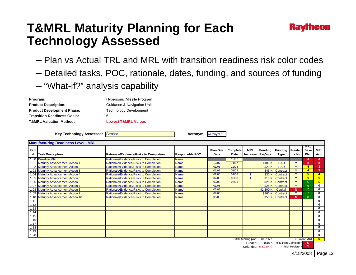### **T&MRL Maturity Planning for Each Technology Assessed**

- Plan vs Actual TRL and MRL with transition readiness risk color codes
- Detailed tasks, POC, rationale, dates, funding, and sources of funding – "What-if?" analysis capability

| Program:                           | Hypersonic Missile Program     |
|------------------------------------|--------------------------------|
| <b>Product Description:</b>        | Guidance & Navigation Unit     |
| <b>Product Development Phase:</b>  | Technology Development         |
| <b>Transition Readiness Goals:</b> | 6                              |
| <b>T&amp;MRL Valuation Method:</b> | <b>Lowest T&amp;MRL Values</b> |
|                                    |                                |
| .                                  | $\sim$                         |

**Key Technology Assessed: Sensor** 

**Acronym:** Acronym 1

| <b>Manufacturing Readiness Level - MRL</b> |                                     |                                        |                        |                         |                  |                        |                             |                               |                   |                     |                |
|--------------------------------------------|-------------------------------------|----------------------------------------|------------------------|-------------------------|------------------|------------------------|-----------------------------|-------------------------------|-------------------|---------------------|----------------|
| Item                                       | <b>Task Description</b>             | Rationale/Evidence/Risks to Completion | <b>Responsible POC</b> | <b>Plan Due</b><br>Date | Complete<br>Date | MRL<br><b>Increase</b> | Fundina I<br><b>Req'mts</b> | <b>Funding Funded</b><br>Type | (Y/N)             | MRL<br>Base<br>Plan | MRL<br>Act'l   |
|                                            | 1.00 Baseline MRL                   | Rationale/Evidence/Risks to Completion | <b>Name</b>            |                         | 10/07            |                        |                             |                               |                   | 3                   | 3.             |
|                                            | 1.01 Maturity Advancement Action 1  | Rationale/Evidence/Risks to Completion | <b>Name</b>            | 12/07                   | 11/07            |                        | \$100 k                     | <b>IRAD</b>                   | $\mathbf{v}$      | 3                   | 3              |
|                                            | 1.02 Maturity Advancement Action 2  | Rationale/Evidence/Risks to Completion | <b>Name</b>            | 01/08                   | 12/08            |                        | \$20 <sub>k</sub>           | <b>IRAD</b>                   | $\mathbf{v}$      | $\overline{4}$      | 3              |
|                                            | 1.03 Maturity Advancement Action 3  | Rationale/Evidence/Risks to Completion | <b>Name</b>            | 01/08                   | 01/08            |                        | \$45h                       | Contract                      | $\mathbf{v}$      | $\overline{4}$      | 3              |
|                                            | 1.04 Maturity Advancement Action 4  | Rationale/Evidence/Risks to Completion | <b>Name</b>            | 02/08                   | 01/08            |                        | \$30 K                      | Contract                      | $\mathbf v$       | 5                   | 4              |
|                                            | 1.05 Maturity Advancement Action 5  | Rationale/Evidence/Risks to Completion | <b>Name</b>            | 02/08                   | 02/08            |                        | \$10K                       | Contract                      | $\mathbf{v}$      | 5                   | 5              |
|                                            | 1.06 Maturity Advancement Action 6  | Rationale/Evidence/Risks to Completion | <b>Name</b>            | 03/08                   | 02/08            |                        | \$25 K                      | Contract                      | $\mathbf v$       | 6                   | 5              |
|                                            | 1.07 Maturity Advancement Action 7  | Rationale/Evidence/Risks to Completion | <b>Name</b>            | 03/08                   |                  |                        | \$25K                       | Contract                      | $\mathbf v$       | 6                   | $\bf{0}$       |
|                                            | 1.08 Maturity Advancement Action 8  | Rationale/Evidence/Risks to Completion | <b>Name</b>            | 05/08                   |                  |                        | \$1,200                     | Capital                       | N                 | $\overline{z}$      | $\mathbf{0}$   |
|                                            | 1.09 Maturity Advancement Action 9  | Rationale/Evidence/Risks to Completion | <b>Name</b>            | 07/08                   |                  |                        | \$260 k                     | Contract                      | $\mathbf v$       | $\overline{7}$      | $\bf{0}$       |
|                                            | 1.10 Maturity Advancement Action 10 | Rationale/Evidence/Risks to Completion | <b>Name</b>            | 08/08                   |                  |                        | \$50 K                      | Contract                      | N                 | 8                   | $\bf{0}$       |
| 1.11                                       |                                     |                                        |                        |                         |                  |                        |                             |                               |                   |                     | $\bf{0}$       |
| 1.12                                       |                                     |                                        |                        |                         |                  |                        |                             |                               |                   |                     | 0              |
| 1.13                                       |                                     |                                        |                        |                         |                  |                        |                             |                               |                   |                     | 0              |
| 1.14                                       |                                     |                                        |                        |                         |                  |                        |                             |                               |                   |                     | $\bf{0}$       |
| 1.15                                       |                                     |                                        |                        |                         |                  |                        |                             |                               |                   |                     | 0              |
| 1.16                                       |                                     |                                        |                        |                         |                  |                        |                             |                               |                   |                     | $\bf{0}$       |
| 1.17                                       |                                     |                                        |                        |                         |                  |                        |                             |                               |                   |                     | $\mathbf{0}$   |
| 1.18                                       |                                     |                                        |                        |                         |                  |                        |                             |                               |                   |                     | 0              |
| 1.19                                       |                                     |                                        |                        |                         |                  |                        |                             |                               |                   |                     | $\bf{0}$       |
| 1.20                                       |                                     |                                        |                        |                         |                  |                        |                             |                               |                   |                     | $\mathbf{0}$   |
| MRL funding plan:                          |                                     |                                        |                        |                         |                  |                        |                             |                               |                   | <b>Current MRL</b>  | 5 <sub>5</sub> |
|                                            |                                     |                                        |                        |                         |                  | Funded:                |                             | \$515 K MRL Plan Complete?    |                   | N                   |                |
|                                            |                                     |                                        |                        |                         |                  |                        | Unfunded: (\$1,250 K)       |                               | In Risk Register? | $\mathbf v$         |                |

Kayrı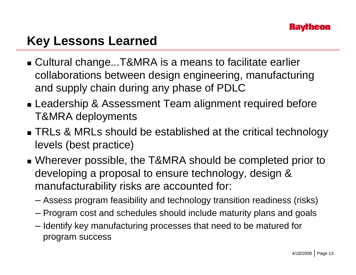

### **Key Lessons Learned**

- Cultural change...T&MRA is a means to facilitate earlier collaborations between design engineering, manufacturing and supply chain during any phase of PDLC
- Leadership & Assessment Team alignment required before T&MRA deployments
- TRLs & MRLs should be established at the critical technology levels (best practice)
- Wherever possible, the T&MRA should be completed prior to developing a proposal to ensure technology, design & manufacturability risks are accounted for:
	- Assess program feasibility and technology transition readiness (risks)
	- Program cost and schedules should include maturity plans and goals
	- Identify key manufacturing processes that need to be matured for program success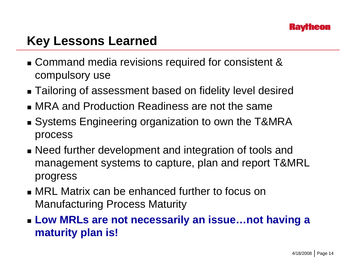

### **Key Lessons Learned**

- Command media revisions required for consistent & compulsory use
- Tailoring of assessment based on fidelity level desired
- MRA and Production Readiness are not the same
- Systems Engineering organization to own the T&MRA process
- Need further development and integration of tools and management systems to capture, plan and report T&MRL progress
- MRL Matrix can be enhanced further to focus on Manufacturing Process Maturity
- **Low MRLs are not necessarily an issue…not having a maturity plan is!**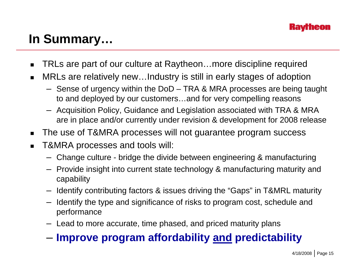

## **In Summary…**

- $\blacksquare$ TRLs are part of our culture at Raytheon…more discipline required
- $\blacksquare$  MRLs are relatively new…Industry is still in early stages of adoption
	- Sense of urgency within the DoD TRA & MRA processes are being taught to and deployed by our customers…and for very compelling reasons
	- Acquisition Policy, Guidance and Legislation associated with TRA & MRA are in place and/or currently under revision & development for 2008 release
- $\blacksquare$ The use of T&MRA processes will not guarantee program success
- $\blacksquare$  T&MRA processes and tools will:
	- Change culture bridge the divide between engineering & manufacturing
	- Provide insight into current state technology & manufacturing maturity and capability
	- Identify contributing factors & issues driving the "Gaps" in T&MRL maturity
	- Identify the type and significance of risks to program cost, schedule and performance
	- Lead to more accurate, time phased, and priced maturity plans

#### –**Improve program affordability and predictability**